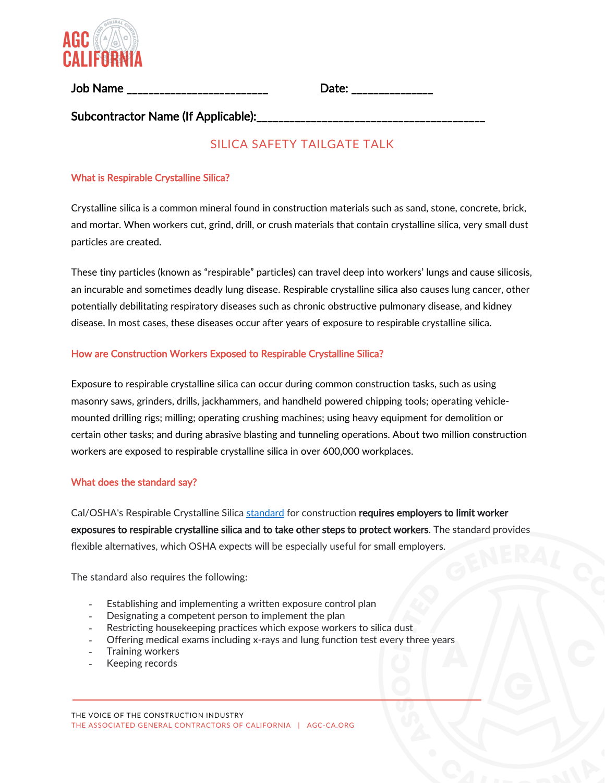

Job Name \_\_\_\_\_\_\_\_\_\_\_\_\_\_\_\_\_\_\_\_\_\_\_\_\_\_ Date: \_\_\_\_\_\_\_\_\_\_\_\_\_\_\_

Subcontractor Name (If Applicable):

# SILICA SAFETY TAILGATF TAI K

# What is Respirable Crystalline Silica?

Crystalline silica is a common mineral found in construction materials such as sand, stone, concrete, brick, and mortar. When workers cut, grind, drill, or crush materials that contain crystalline silica, very small dust particles are created.

These tiny particles (known as "respirable" particles) can travel deep into workers' lungs and cause silicosis, an incurable and sometimes deadly lung disease. Respirable crystalline silica also causes lung cancer, other potentially debilitating respiratory diseases such as chronic obstructive pulmonary disease, and kidney disease. In most cases, these diseases occur after years of exposure to respirable crystalline silica.

### How are Construction Workers Exposed to Respirable Crystalline Silica?

Exposure to respirable crystalline silica can occur during common construction tasks, such as using masonry saws, grinders, drills, jackhammers, and handheld powered chipping tools; operating vehiclemounted drilling rigs; milling; operating crushing machines; using heavy equipment for demolition or certain other tasks; and during abrasive blasting and tunneling operations. About two million construction workers are exposed to respirable crystalline silica in over 600,000 workplaces.

### What does the standard say?

Cal/OSHA's Respirable Crystalline Silica [standard](https://www.dir.ca.gov/title8/1532_3.html) for construction requires employers to limit worker exposures to respirable crystalline silica and to take other steps to protect workers. The standard provides flexible alternatives, which OSHA expects will be especially useful for small employers.

The standard also requires the following:

- Establishing and implementing a written exposure control plan
- Designating a competent person to implement the plan
- Restricting housekeeping practices which expose workers to silica dust
- Offering medical exams including x-rays and lung function test every three years
- Training workers
- Keeping records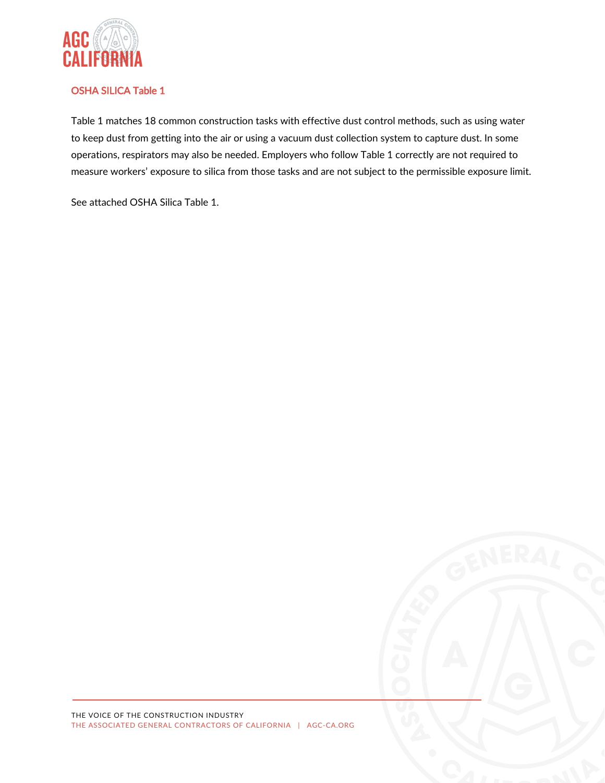

# OSHA SILICA Table 1

Table 1 matches 18 common construction tasks with effective dust control methods, such as using water to keep dust from getting into the air or using a vacuum dust collection system to capture dust. In some operations, respirators may also be needed. Employers who follow Table 1 correctly are not required to measure workers' exposure to silica from those tasks and are not subject to the permissible exposure limit.

See attached OSHA Silica Table 1.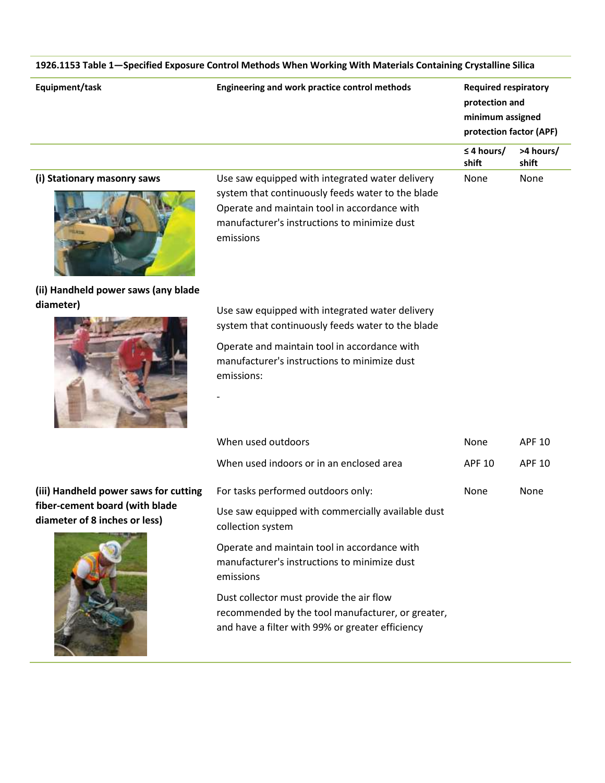| Equipment/task                                                  | 1926.1153 Table 1-Specified Exposure Control Methods When Working With Materials Containing Crystalline Silica<br>Engineering and work practice control methods                                                    |                                                                                              |                    |
|-----------------------------------------------------------------|--------------------------------------------------------------------------------------------------------------------------------------------------------------------------------------------------------------------|----------------------------------------------------------------------------------------------|--------------------|
|                                                                 |                                                                                                                                                                                                                    | <b>Required respiratory</b><br>protection and<br>minimum assigned<br>protection factor (APF) |                    |
|                                                                 |                                                                                                                                                                                                                    | $\leq$ 4 hours/<br>shift                                                                     | >4 hours/<br>shift |
| (i) Stationary masonry saws                                     | Use saw equipped with integrated water delivery<br>system that continuously feeds water to the blade<br>Operate and maintain tool in accordance with<br>manufacturer's instructions to minimize dust<br>emissions  | None<br>None                                                                                 |                    |
| (ii) Handheld power saws (any blade                             |                                                                                                                                                                                                                    |                                                                                              |                    |
| diameter)                                                       | Use saw equipped with integrated water delivery<br>system that continuously feeds water to the blade<br>Operate and maintain tool in accordance with<br>manufacturer's instructions to minimize dust<br>emissions: |                                                                                              |                    |
|                                                                 | When used outdoors                                                                                                                                                                                                 | None                                                                                         | <b>APF 10</b>      |
|                                                                 | When used indoors or in an enclosed area                                                                                                                                                                           | <b>APF 10</b>                                                                                | <b>APF 10</b>      |
| (iii) Handheld power saws for cutting                           | For tasks performed outdoors only:                                                                                                                                                                                 | None                                                                                         | None               |
| fiber-cement board (with blade<br>diameter of 8 inches or less) | Use saw equipped with commercially available dust<br>collection system                                                                                                                                             |                                                                                              |                    |
|                                                                 | Operate and maintain tool in accordance with<br>manufacturer's instructions to minimize dust<br>emissions                                                                                                          |                                                                                              |                    |

Dust collector must provide the air flow recommended by the tool manufacturer, or greater, and have a filter with 99% or greater efficiency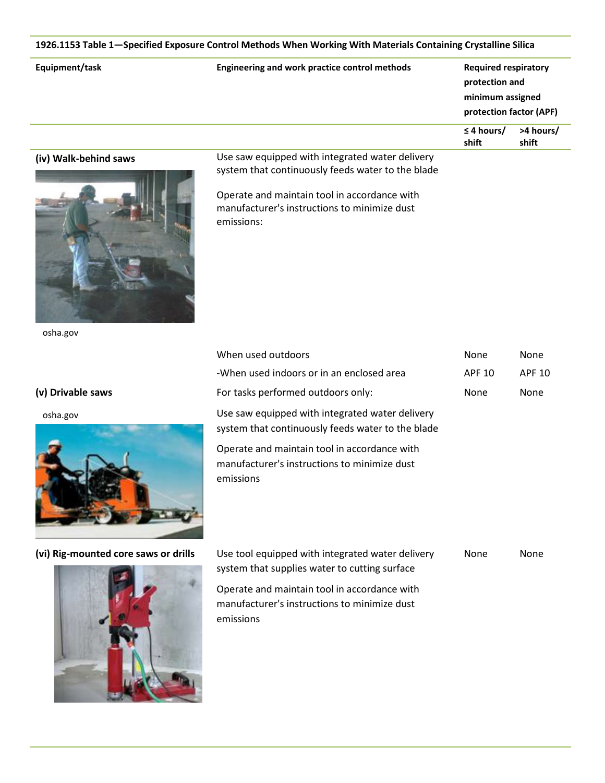| Equipment/task        | Engineering and work practice control methods                                                                                                                                                                      | <b>Required respiratory</b><br>protection and<br>minimum assigned<br>protection factor (APF) |                    |
|-----------------------|--------------------------------------------------------------------------------------------------------------------------------------------------------------------------------------------------------------------|----------------------------------------------------------------------------------------------|--------------------|
|                       |                                                                                                                                                                                                                    | $\leq$ 4 hours/<br>shift                                                                     | >4 hours/<br>shift |
| (iv) Walk-behind saws | Use saw equipped with integrated water delivery<br>system that continuously feeds water to the blade<br>Operate and maintain tool in accordance with<br>manufacturer's instructions to minimize dust<br>emissions: |                                                                                              |                    |
| osha.gov              | When used outdoors                                                                                                                                                                                                 | None                                                                                         | None               |
|                       | -When used indoors or in an enclosed area                                                                                                                                                                          | <b>APF 10</b>                                                                                | <b>APF 10</b>      |
| (v) Drivable saws     | For tasks performed outdoors only:                                                                                                                                                                                 | None                                                                                         | None               |
|                       |                                                                                                                                                                                                                    |                                                                                              |                    |
| osha.gov              | Use saw equipped with integrated water delivery<br>system that continuously feeds water to the blade                                                                                                               |                                                                                              |                    |



emissions

(vi) Rig-mounted core saws or drills



| Use tool equipped with integrated water delivery | None | None |
|--------------------------------------------------|------|------|
| system that supplies water to cutting surface    |      |      |
| Operate and maintain tool in accordance with     |      |      |
| manufacturer's instructions to minimize dust     |      |      |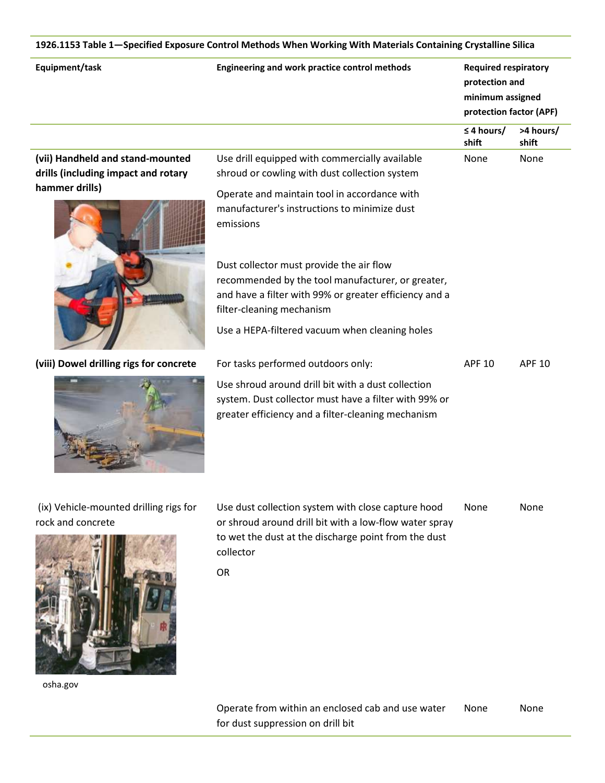| Equipment/task                                                          | Engineering and work practice control methods                                                                                                                                                           | <b>Required respiratory</b><br>protection and<br>minimum assigned<br>protection factor (APF) |                    |
|-------------------------------------------------------------------------|---------------------------------------------------------------------------------------------------------------------------------------------------------------------------------------------------------|----------------------------------------------------------------------------------------------|--------------------|
|                                                                         |                                                                                                                                                                                                         | $\leq$ 4 hours/<br>shift                                                                     | >4 hours/<br>shift |
| (vii) Handheld and stand-mounted<br>drills (including impact and rotary | Use drill equipped with commercially available<br>shroud or cowling with dust collection system                                                                                                         | None                                                                                         | None               |
| hammer drills)                                                          | Operate and maintain tool in accordance with<br>manufacturer's instructions to minimize dust<br>emissions                                                                                               |                                                                                              |                    |
|                                                                         | Dust collector must provide the air flow<br>recommended by the tool manufacturer, or greater,<br>and have a filter with 99% or greater efficiency and a<br>filter-cleaning mechanism                    |                                                                                              |                    |
|                                                                         | Use a HEPA-filtered vacuum when cleaning holes                                                                                                                                                          |                                                                                              |                    |
| (viii) Dowel drilling rigs for concrete                                 | For tasks performed outdoors only:<br>Use shroud around drill bit with a dust collection<br>system. Dust collector must have a filter with 99% or<br>greater efficiency and a filter-cleaning mechanism | <b>APF 10</b>                                                                                | <b>APF 10</b>      |
| (ix) Vehicle-mounted drilling rigs for                                  | Use dust collection system with close capture hood                                                                                                                                                      | None                                                                                         | None               |

rock and concrete

osha.gov

Use dust collection system with close capture hood or shroud around drill bit with a low-flow water spray to wet the dust at the discharge point from the dust collector None None

OR

Operate from within an enclosed cab and use water for dust suppression on drill bit None None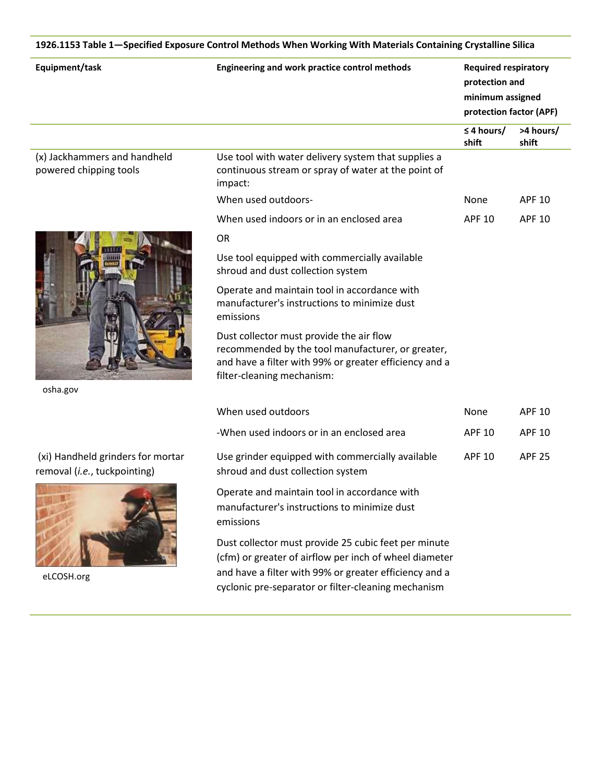|                                                                   | 1926.1153 Table 1-Specified Exposure Control Methods When Working With Materials Containing Crystalline Silica                                                                                                                  |                                                                                              |                    |
|-------------------------------------------------------------------|---------------------------------------------------------------------------------------------------------------------------------------------------------------------------------------------------------------------------------|----------------------------------------------------------------------------------------------|--------------------|
| Equipment/task                                                    | Engineering and work practice control methods                                                                                                                                                                                   | <b>Required respiratory</b><br>protection and<br>minimum assigned<br>protection factor (APF) |                    |
|                                                                   |                                                                                                                                                                                                                                 | $\leq$ 4 hours/<br>shift                                                                     | >4 hours/<br>shift |
| (x) Jackhammers and handheld<br>powered chipping tools            | Use tool with water delivery system that supplies a<br>continuous stream or spray of water at the point of<br>impact:                                                                                                           |                                                                                              |                    |
|                                                                   | When used outdoors-                                                                                                                                                                                                             | <b>None</b>                                                                                  | <b>APF 10</b>      |
|                                                                   | When used indoors or in an enclosed area                                                                                                                                                                                        | <b>APF 10</b>                                                                                | <b>APF 10</b>      |
|                                                                   | <b>OR</b>                                                                                                                                                                                                                       |                                                                                              |                    |
|                                                                   | Use tool equipped with commercially available<br>shroud and dust collection system                                                                                                                                              |                                                                                              |                    |
|                                                                   | Operate and maintain tool in accordance with<br>manufacturer's instructions to minimize dust<br>emissions                                                                                                                       |                                                                                              |                    |
|                                                                   | Dust collector must provide the air flow<br>recommended by the tool manufacturer, or greater,<br>and have a filter with 99% or greater efficiency and a<br>filter-cleaning mechanism:                                           |                                                                                              |                    |
| osha.gov                                                          |                                                                                                                                                                                                                                 |                                                                                              |                    |
|                                                                   | When used outdoors                                                                                                                                                                                                              | <b>None</b>                                                                                  | <b>APF 10</b>      |
|                                                                   | -When used indoors or in an enclosed area                                                                                                                                                                                       | <b>APF 10</b>                                                                                | <b>APF 10</b>      |
| (xi) Handheld grinders for mortar<br>removal (i.e., tuckpointing) | Use grinder equipped with commercially available<br>shroud and dust collection system                                                                                                                                           | <b>APF 10</b>                                                                                | <b>APF 25</b>      |
|                                                                   | Operate and maintain tool in accordance with<br>manufacturer's instructions to minimize dust<br>emissions                                                                                                                       |                                                                                              |                    |
| eLCOSH.org                                                        | Dust collector must provide 25 cubic feet per minute<br>(cfm) or greater of airflow per inch of wheel diameter<br>and have a filter with 99% or greater efficiency and a<br>cyclonic pre-separator or filter-cleaning mechanism |                                                                                              |                    |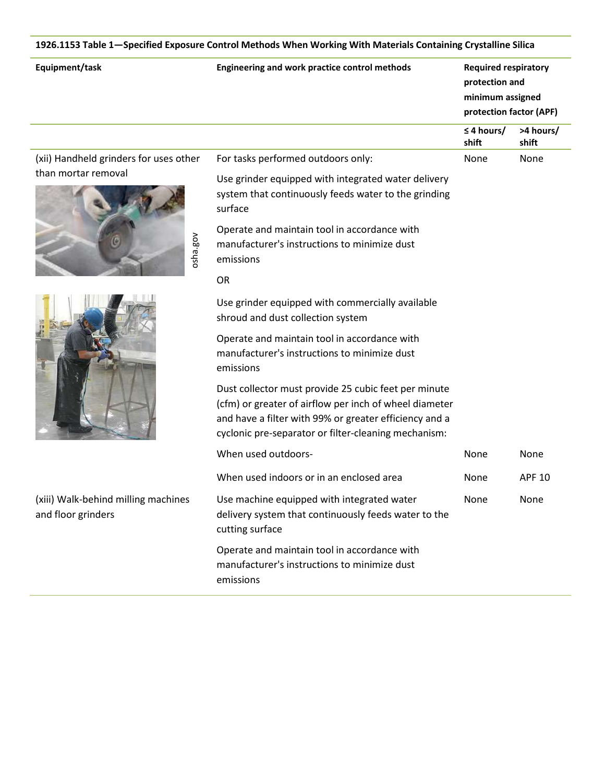| Equipment/task                                            | Engineering and work practice control methods                                                                                                                                                                                    | <b>Required respiratory</b><br>protection and<br>minimum assigned<br>protection factor (APF) |                    |
|-----------------------------------------------------------|----------------------------------------------------------------------------------------------------------------------------------------------------------------------------------------------------------------------------------|----------------------------------------------------------------------------------------------|--------------------|
|                                                           |                                                                                                                                                                                                                                  | $\leq$ 4 hours/<br>shift                                                                     | >4 hours/<br>shift |
| (xii) Handheld grinders for uses other                    | For tasks performed outdoors only:                                                                                                                                                                                               | None                                                                                         | None               |
| than mortar removal                                       | Use grinder equipped with integrated water delivery<br>system that continuously feeds water to the grinding<br>surface                                                                                                           |                                                                                              |                    |
| osha.gov                                                  | Operate and maintain tool in accordance with<br>manufacturer's instructions to minimize dust<br>emissions                                                                                                                        |                                                                                              |                    |
|                                                           | <b>OR</b>                                                                                                                                                                                                                        |                                                                                              |                    |
|                                                           | Use grinder equipped with commercially available<br>shroud and dust collection system                                                                                                                                            |                                                                                              |                    |
|                                                           | Operate and maintain tool in accordance with<br>manufacturer's instructions to minimize dust<br>emissions                                                                                                                        |                                                                                              |                    |
|                                                           | Dust collector must provide 25 cubic feet per minute<br>(cfm) or greater of airflow per inch of wheel diameter<br>and have a filter with 99% or greater efficiency and a<br>cyclonic pre-separator or filter-cleaning mechanism: |                                                                                              |                    |
|                                                           | When used outdoors-                                                                                                                                                                                                              | None                                                                                         | None               |
|                                                           | When used indoors or in an enclosed area                                                                                                                                                                                         | None                                                                                         | <b>APF 10</b>      |
| (xiii) Walk-behind milling machines<br>and floor grinders | Use machine equipped with integrated water<br>delivery system that continuously feeds water to the<br>cutting surface                                                                                                            | None                                                                                         | None               |
|                                                           | Operate and maintain tool in accordance with<br>manufacturer's instructions to minimize dust<br>emissions                                                                                                                        |                                                                                              |                    |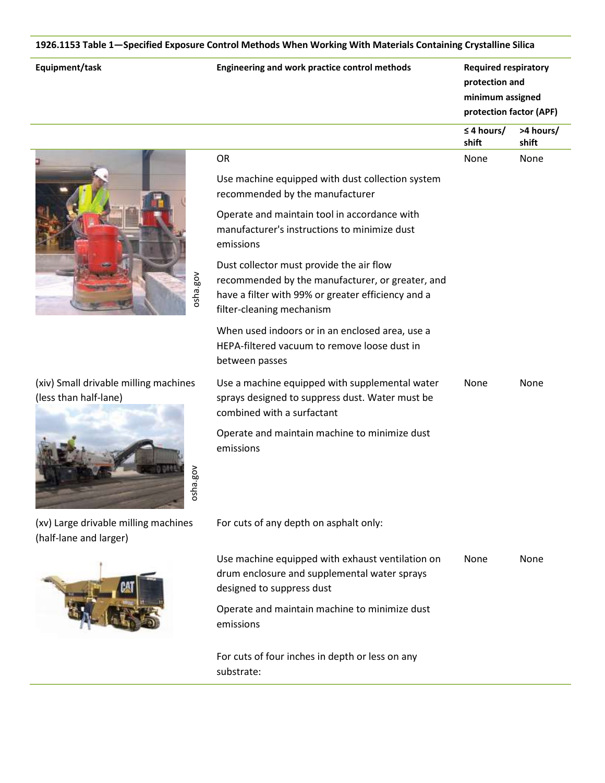|  |  | Equipment/task |  |
|--|--|----------------|--|
|  |  |                |  |

| Equipment/task                                                 | Engineering and work practice control methods                                                                                                                                                                                                                                                                                                                                             | <b>Required respiratory</b><br>protection and<br>minimum assigned<br>protection factor (APF) |                    |
|----------------------------------------------------------------|-------------------------------------------------------------------------------------------------------------------------------------------------------------------------------------------------------------------------------------------------------------------------------------------------------------------------------------------------------------------------------------------|----------------------------------------------------------------------------------------------|--------------------|
|                                                                |                                                                                                                                                                                                                                                                                                                                                                                           | $\leq$ 4 hours/<br>shift                                                                     | >4 hours/<br>shift |
| osha.gov                                                       | OR<br>Use machine equipped with dust collection system<br>recommended by the manufacturer<br>Operate and maintain tool in accordance with<br>manufacturer's instructions to minimize dust<br>emissions<br>Dust collector must provide the air flow<br>recommended by the manufacturer, or greater, and<br>have a filter with 99% or greater efficiency and a<br>filter-cleaning mechanism | None                                                                                         | None               |
|                                                                | When used indoors or in an enclosed area, use a<br>HEPA-filtered vacuum to remove loose dust in<br>between passes                                                                                                                                                                                                                                                                         |                                                                                              |                    |
| (xiv) Small drivable milling machines<br>(less than half-lane) | Use a machine equipped with supplemental water<br>sprays designed to suppress dust. Water must be<br>combined with a surfactant                                                                                                                                                                                                                                                           | None                                                                                         | None               |
| osha.gov                                                       | Operate and maintain machine to minimize dust<br>emissions                                                                                                                                                                                                                                                                                                                                |                                                                                              |                    |
| (xv) Large drivable milling machines<br>(half-lane and larger) | For cuts of any depth on asphalt only:                                                                                                                                                                                                                                                                                                                                                    |                                                                                              |                    |
|                                                                | Use machine equipped with exhaust ventilation on<br>drum enclosure and supplemental water sprays<br>designed to suppress dust<br>Operate and maintain machine to minimize dust<br>emissions                                                                                                                                                                                               | None                                                                                         | None               |

For cuts of four inches in depth or less on any substrate:

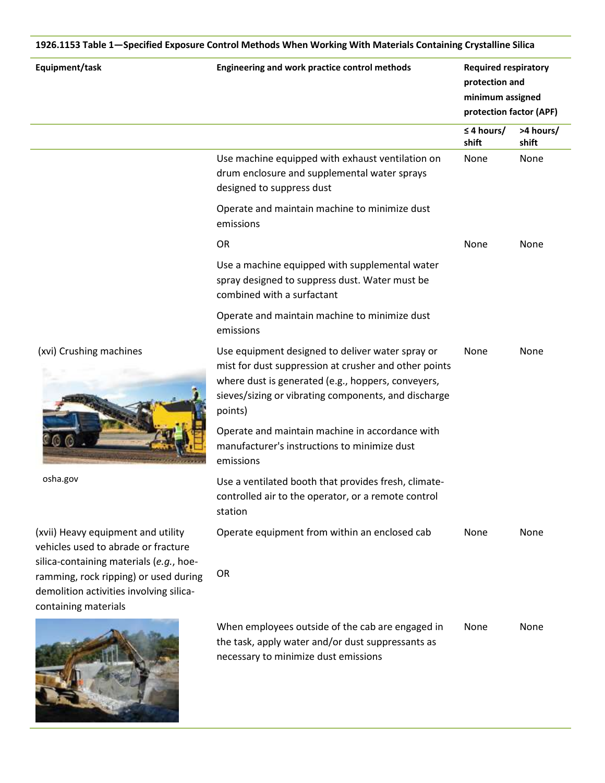| Equipment/task                                                                                                       | Engineering and work practice control methods                                                                                                                                                                                      | <b>Required respiratory</b><br>protection and<br>minimum assigned<br>protection factor (APF) |                    |
|----------------------------------------------------------------------------------------------------------------------|------------------------------------------------------------------------------------------------------------------------------------------------------------------------------------------------------------------------------------|----------------------------------------------------------------------------------------------|--------------------|
|                                                                                                                      |                                                                                                                                                                                                                                    | $\leq$ 4 hours/<br>shift                                                                     | >4 hours/<br>shift |
|                                                                                                                      | Use machine equipped with exhaust ventilation on<br>drum enclosure and supplemental water sprays<br>designed to suppress dust                                                                                                      | None                                                                                         | None               |
|                                                                                                                      | Operate and maintain machine to minimize dust<br>emissions                                                                                                                                                                         |                                                                                              |                    |
|                                                                                                                      | OR                                                                                                                                                                                                                                 | None                                                                                         | None               |
|                                                                                                                      | Use a machine equipped with supplemental water<br>spray designed to suppress dust. Water must be<br>combined with a surfactant                                                                                                     |                                                                                              |                    |
|                                                                                                                      | Operate and maintain machine to minimize dust<br>emissions                                                                                                                                                                         |                                                                                              |                    |
| (xvi) Crushing machines                                                                                              | Use equipment designed to deliver water spray or<br>mist for dust suppression at crusher and other points<br>where dust is generated (e.g., hoppers, conveyers,<br>sieves/sizing or vibrating components, and discharge<br>points) | None                                                                                         | None               |
|                                                                                                                      | Operate and maintain machine in accordance with<br>manufacturer's instructions to minimize dust<br>emissions                                                                                                                       |                                                                                              |                    |
| osha.gov                                                                                                             | Use a ventilated booth that provides fresh, climate-<br>controlled air to the operator, or a remote control<br>station                                                                                                             |                                                                                              |                    |
| (xvii) Heavy equipment and utility<br>vehicles used to abrade or fracture<br>silica-containing materials (e.g., hoe- | Operate equipment from within an enclosed cab                                                                                                                                                                                      | None                                                                                         | None               |
| ramming, rock ripping) or used during<br>demolition activities involving silica-<br>containing materials             | <b>OR</b>                                                                                                                                                                                                                          |                                                                                              |                    |
|                                                                                                                      | When employees outside of the cab are engaged in<br>the task, apply water and/or dust suppressants as<br>necessary to minimize dust emissions                                                                                      | None                                                                                         | None               |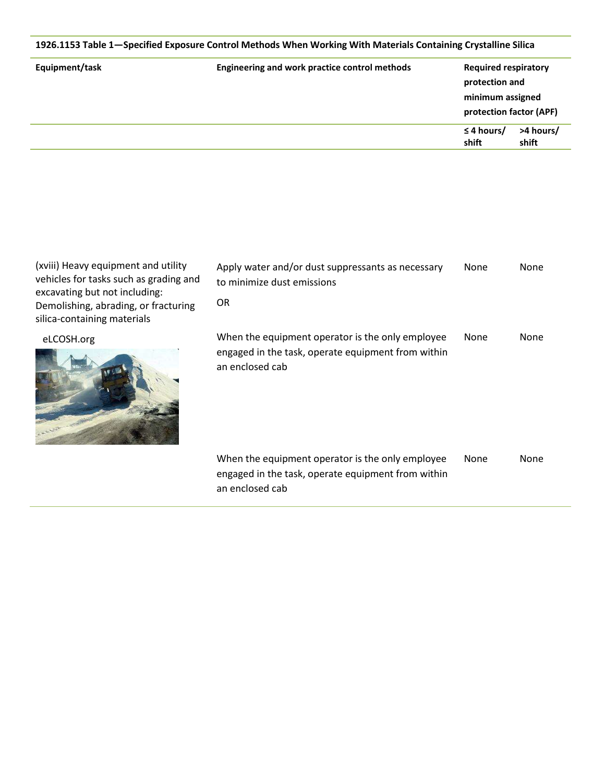|                | 1926.1153 Table 1—Specified Exposure Control Methods When Working With Materials Containing Crystalline Silica |                                                                                              |                    |
|----------------|----------------------------------------------------------------------------------------------------------------|----------------------------------------------------------------------------------------------|--------------------|
| Equipment/task | Engineering and work practice control methods                                                                  | <b>Required respiratory</b><br>protection and<br>minimum assigned<br>protection factor (APF) |                    |
|                |                                                                                                                | $\leq$ 4 hours/<br>shift                                                                     | >4 hours/<br>shift |

| (xviii) Heavy equipment and utility    |
|----------------------------------------|
| vehicles for tasks such as grading and |
| excavating but not including:          |
| Demolishing, abrading, or fracturing   |
| silica-containing materials            |
|                                        |

eLCOSH.org



| Apply water and/or dust suppressants as necessary<br>to minimize dust emissions                                           | None | None |
|---------------------------------------------------------------------------------------------------------------------------|------|------|
| 0R                                                                                                                        |      |      |
| When the equipment operator is the only employee<br>engaged in the task, operate equipment from within<br>an enclosed cab | None | None |
| When the equipment operator is the only employee<br>engaged in the task, operate equipment from within<br>an enclosed cab | None | None |